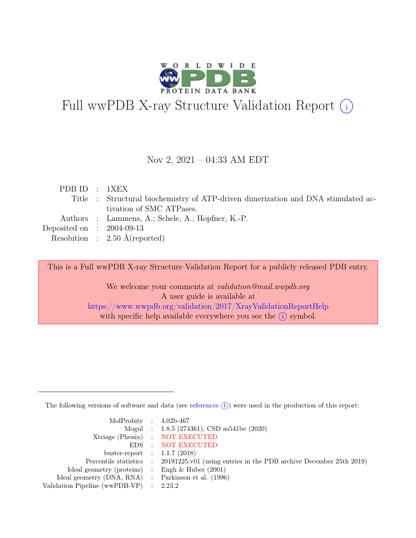

# Full wwPDB X-ray Structure Validation Report  $(i)$

#### Nov 2, 2021 – 04:33 AM EDT

| PDBID : 1XEX                |                                                                                   |
|-----------------------------|-----------------------------------------------------------------------------------|
|                             | Title : Structural biochemistry of ATP-driven dimerization and DNA stimulated ac- |
|                             | tivation of SMC ATPases.                                                          |
|                             | Authors : Lammens, A.; Schele, A.; Hopfner, K.-P.                                 |
| Deposited on : $2004-09-13$ |                                                                                   |
|                             | Resolution : $2.50 \text{ Å}$ (reported)                                          |

This is a Full wwPDB X-ray Structure Validation Report for a publicly released PDB entry.

We welcome your comments at *validation@mail.wwpdb.org* A user guide is available at <https://www.wwpdb.org/validation/2017/XrayValidationReportHelp> with specific help available everywhere you see the  $(i)$  symbol.

The following versions of software and data (see [references](https://www.wwpdb.org/validation/2017/XrayValidationReportHelp#references)  $(i)$ ) were used in the production of this report:

| MolProbity : $4.02b-467$                            |                                                                                            |
|-----------------------------------------------------|--------------------------------------------------------------------------------------------|
|                                                     | Mogul : 1.8.5 (274361), CSD as 541be (2020)                                                |
|                                                     | Xtriage (Phenix) : NOT EXECUTED                                                            |
|                                                     | EDS : NOT EXECUTED                                                                         |
| buster-report : $1.1.7(2018)$                       |                                                                                            |
|                                                     | Percentile statistics : 20191225.v01 (using entries in the PDB archive December 25th 2019) |
| Ideal geometry (proteins) : Engh $\&$ Huber (2001)  |                                                                                            |
| Ideal geometry (DNA, RNA) : Parkinson et al. (1996) |                                                                                            |
| Validation Pipeline (wwPDB-VP)                      | $\therefore$ 2.23.2                                                                        |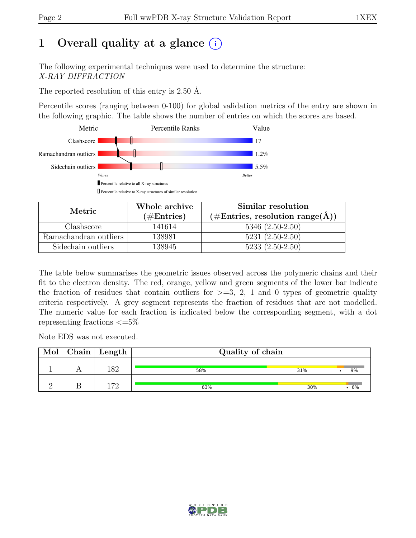# 1 Overall quality at a glance  $(i)$

The following experimental techniques were used to determine the structure: X-RAY DIFFRACTION

The reported resolution of this entry is 2.50 Å.

Percentile scores (ranging between 0-100) for global validation metrics of the entry are shown in the following graphic. The table shows the number of entries on which the scores are based.



| Metric.               | Whole archive        | Similar resolution                                                 |
|-----------------------|----------------------|--------------------------------------------------------------------|
|                       | $(\#\text{Entries})$ | $(\#\text{Entries}, \text{ resolution range}(\text{\AA})^{\circ})$ |
| Clashscore            | 141614               | $5346(2.50-2.50)$                                                  |
| Ramachandran outliers | 138981               | $5231 (2.50 - 2.50)$                                               |
| Sidechain outliers    | 138945               | $5233(2.50-2.50)$                                                  |

The table below summarises the geometric issues observed across the polymeric chains and their fit to the electron density. The red, orange, yellow and green segments of the lower bar indicate the fraction of residues that contain outliers for  $\geq$ =3, 2, 1 and 0 types of geometric quality criteria respectively. A grey segment represents the fraction of residues that are not modelled. The numeric value for each fraction is indicated below the corresponding segment, with a dot representing fractions  $\epsilon = 5\%$ 

Note EDS was not executed.

| Mol | $Chain \mid Length$ | Quality of chain |     |    |
|-----|---------------------|------------------|-----|----|
|     | ı o o               | 58%              | 31% | 9% |
|     | 170                 | 63%              | 30% | 6% |

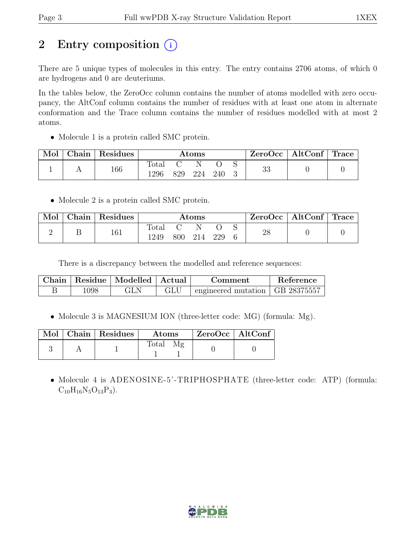# 2 Entry composition  $(i)$

There are 5 unique types of molecules in this entry. The entry contains 2706 atoms, of which 0 are hydrogens and 0 are deuteriums.

In the tables below, the ZeroOcc column contains the number of atoms modelled with zero occupancy, the AltConf column contains the number of residues with at least one atom in alternate conformation and the Trace column contains the number of residues modelled with at most 2 atoms.

• Molecule 1 is a protein called SMC protein.

| Mol | Chain   Residues |               |     | $\rm{Atoms}$ |     |    | $ZeroOcc \   \$ AltConf | $\perp$ Trace |
|-----|------------------|---------------|-----|--------------|-----|----|-------------------------|---------------|
|     | 166              | Total<br>1296 | 829 | 224          | 240 | 33 |                         |               |

• Molecule 2 is a protein called SMC protein.

| Mol | Chain | Residues |               | $\rm{Atoms}$ |     | $ZeroOcc \mid AltConf \mid Trace \mid$ |  |
|-----|-------|----------|---------------|--------------|-----|----------------------------------------|--|
|     |       | 161      | Total<br>1249 | 800 214      | 229 | 28                                     |  |

There is a discrepancy between the modelled and reference sequences:

|      | Chain   Residue   Modelled   Actual | Comment                                           | Reference |
|------|-------------------------------------|---------------------------------------------------|-----------|
| 1098 |                                     | $\pm$ engineered mutation $\pm$ GB 28375557 $\pm$ |           |

• Molecule 3 is MAGNESIUM ION (three-letter code: MG) (formula: Mg).

|  | Mol   Chain   Residues | Atoms | $\mid$ ZeroOcc $\mid$ AltConf $\mid$ |  |
|--|------------------------|-------|--------------------------------------|--|
|  |                        | Total |                                      |  |

• Molecule 4 is ADENOSINE-5'-TRIPHOSPHATE (three-letter code: ATP) (formula:  $C_{10}H_{16}N_5O_{13}P_3$ .

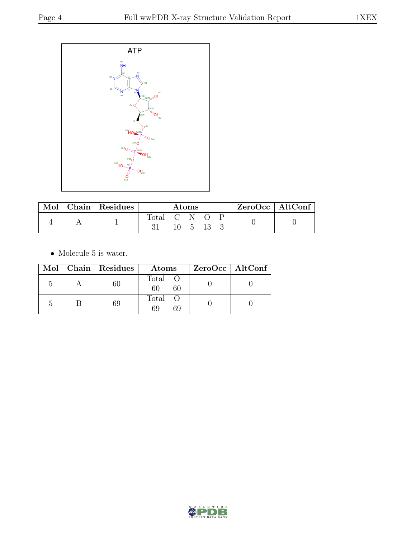

| Mol | Chain   Residues | Atoms       |  |                      | $ZeroOcc \mid AltConf \mid$ |  |  |
|-----|------------------|-------------|--|----------------------|-----------------------------|--|--|
|     |                  | fotal C N O |  | $10 \quad 5 \quad 7$ | 13                          |  |  |

 $\bullet\,$  Molecule 5 is water.

|  | Mol   Chain   Residues | Atoms               | ZeroOcc   AltConf |
|--|------------------------|---------------------|-------------------|
|  | 60                     | Total O<br>60<br>60 |                   |
|  | 69                     | Total O<br>69<br>69 |                   |

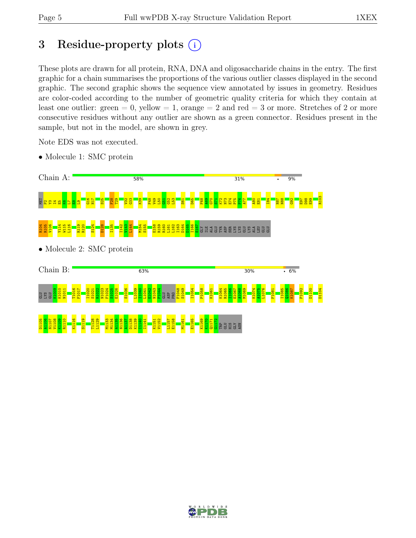# 3 Residue-property plots  $(i)$

These plots are drawn for all protein, RNA, DNA and oligosaccharide chains in the entry. The first graphic for a chain summarises the proportions of the various outlier classes displayed in the second graphic. The second graphic shows the sequence view annotated by issues in geometry. Residues are color-coded according to the number of geometric quality criteria for which they contain at least one outlier: green  $= 0$ , yellow  $= 1$ , orange  $= 2$  and red  $= 3$  or more. Stretches of 2 or more consecutive residues without any outlier are shown as a green connector. Residues present in the sample, but not in the model, are shown in grey.

Note EDS was not executed.

• Molecule 1: SMC protein





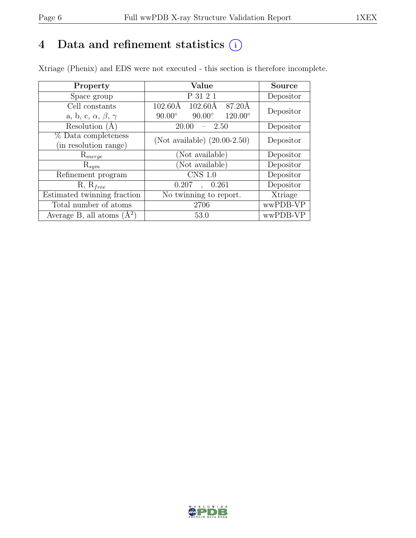# 4 Data and refinement statistics  $(i)$

Xtriage (Phenix) and EDS were not executed - this section is therefore incomplete.

| Property                               | Value                                              | <b>Source</b> |  |
|----------------------------------------|----------------------------------------------------|---------------|--|
| Space group                            | P 31 2 1                                           | Depositor     |  |
| Cell constants                         | 87.20Å<br>$102.60\text{\AA}$<br>$102.60\text{\AA}$ | Depositor     |  |
| a, b, c, $\alpha$ , $\beta$ , $\gamma$ | $120.00^{\circ}$<br>$90.00^\circ$<br>$90.00^\circ$ |               |  |
| Resolution $(A)$                       | 20.00<br>- 2.50                                    | Depositor     |  |
| % Data completeness                    | (Not available) $(20.00-2.50)$                     | Depositor     |  |
| (in resolution range)                  |                                                    |               |  |
| $\mathrm{R}_{merge}$                   | (Not available)                                    | Depositor     |  |
| $\mathrm{R}_{sym}$                     | (Not available)                                    | Depositor     |  |
| Refinement program                     | CNS 1.0                                            | Depositor     |  |
| $R, R_{free}$                          | 0.207<br>0.261<br>$\ddot{\phantom{a}}$             | Depositor     |  |
| Estimated twinning fraction            | No twinning to report.                             | Xtriage       |  |
| Total number of atoms                  | 2706                                               | wwPDB-VP      |  |
| Average B, all atoms $(A^2)$           | 53.0                                               | wwPDB-VP      |  |

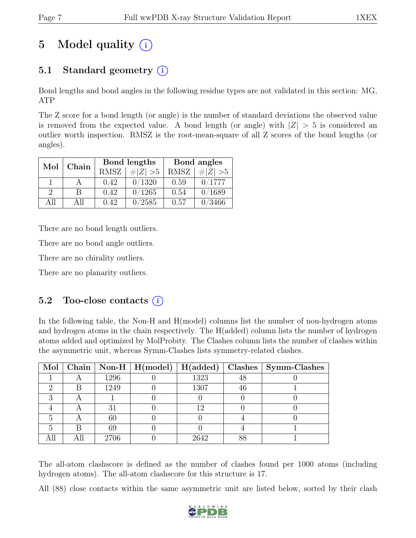# 5 Model quality  $(i)$

# 5.1 Standard geometry (i)

Bond lengths and bond angles in the following residue types are not validated in this section: MG, ATP

The Z score for a bond length (or angle) is the number of standard deviations the observed value is removed from the expected value. A bond length (or angle) with  $|Z| > 5$  is considered an outlier worth inspection. RMSZ is the root-mean-square of all Z scores of the bond lengths (or angles).

| Mol           | Chain |                            | Bond lengths | Bond angles |             |  |
|---------------|-------|----------------------------|--------------|-------------|-------------|--|
|               |       | <b>RMSZ</b><br>$\# Z  > 5$ |              | <b>RMSZ</b> | $\# Z  > 5$ |  |
|               |       | 0.42                       | 0/1320       | 0.59        | 0/1777      |  |
| $\mathcal{D}$ | В     | 0.42                       | 0/1265       | 0.54        | 0/1689      |  |
| ΑH            | All   | 0.42                       | 0/2585       | 0.57        | 0/3466      |  |

There are no bond length outliers.

There are no bond angle outliers.

There are no chirality outliers.

There are no planarity outliers.

### 5.2 Too-close contacts  $(i)$

In the following table, the Non-H and H(model) columns list the number of non-hydrogen atoms and hydrogen atoms in the chain respectively. The H(added) column lists the number of hydrogen atoms added and optimized by MolProbity. The Clashes column lists the number of clashes within the asymmetric unit, whereas Symm-Clashes lists symmetry-related clashes.

|  |      | Mol   Chain   Non-H   H(model)   H(added) |      |    | $\mid$ Clashes $\mid$ Symm-Clashes |
|--|------|-------------------------------------------|------|----|------------------------------------|
|  | 1296 |                                           | 1323 | 48 |                                    |
|  | 1249 |                                           | 1307 | 46 |                                    |
|  |      |                                           |      |    |                                    |
|  | 31   |                                           | 12   |    |                                    |
|  | 60   |                                           |      |    |                                    |
|  | 69   |                                           |      |    |                                    |
|  | 2706 |                                           | 2642 |    |                                    |

The all-atom clashscore is defined as the number of clashes found per 1000 atoms (including hydrogen atoms). The all-atom clashscore for this structure is 17.

All (88) close contacts within the same asymmetric unit are listed below, sorted by their clash

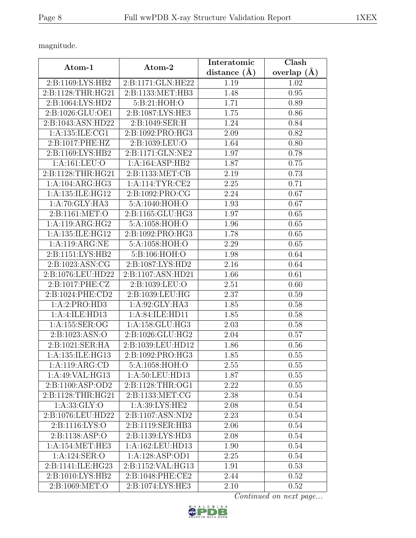magnitude.

|                     |                      | Interatomic    | Clash             |  |
|---------------------|----------------------|----------------|-------------------|--|
| $Atom-1$            | Atom-2               | distance $(A)$ | overlap $(\AA)$   |  |
| 2:B:1169:LYS:HB2    | 2:B:1171:GLN:HE22    | 1.19           | 1.02              |  |
| 2:B:1128:THR:HG21   | 2:B:1133:MET:HB3     | 1.48           | 0.95              |  |
| 2:B:1064:LYS:HD2    | 5:B:21:HOH:O         | 1.71           | 0.89              |  |
| 2:B:1026:GLU:OE1    | 2:B:1087:LYS:HE3     | 1.75           | 0.86              |  |
| 2:B:1043:ASN:HD22   | 2:B:1049:SER:H       | 1.24           | 0.84              |  |
| 1: A: 135: ILE: CG1 | 2:B:1092:PRO:HG3     | 2.09           | 0.82              |  |
| 2:B:1017:PHE:HZ     | 2:B:1039:LEU:O       | 1.64           | 0.80              |  |
| 2:B:1169:LYS:HB2    | 2:B:1171:GLN:NE2     | 1.97           | 0.78              |  |
| 1:A:161:LEU:O       | 1:A:164:ASP:HB2      | 1.87           | 0.75              |  |
| 2:B:1128:THR:HG21   | 2:B:1133:MET:CB      | 2.19           | 0.73              |  |
| 1:A:104:ARG:HG3     | 1: A:114:TYR:CE2     | 2.25           | 0.71              |  |
| 1:A:135:ILE:HG12    | 2:B:1092:PRO:CG      | 2.24           | 0.67              |  |
| 1:A:70:GLY:HA3      | 5:A:1040:HOH:O       | 1.93           | 0.67              |  |
| 2: B: 1161: MET:O   | 2:B:1165:GLU:HG3     | 1.97           | 0.65              |  |
| 1:A:119:ARG:HG2     | 5:A:1058:HOH:O       | 1.96           | 0.65              |  |
| 1:A:135:ILE:HG12    | 2: B: 1092: PRO: HG3 | 1.78           | 0.65              |  |
| 1:A:119:ARG:NE      | 5:A:1058:HOH:O       | 2.29           | 0.65              |  |
| 2:B:1151:LYS:HB2    | 5:B:106:HOH:O        | 1.98           | 0.64              |  |
| 2:B:1023:ASN:CG     | 2:B:1087:LYS:HD2     | 2.16           | 0.64              |  |
| 2:B:1076:LEU:HD22   | 2:B:1107:ASN:HD21    | 1.66           | $\overline{0.61}$ |  |
| 2:B:1017:PHE:CZ     | 2:B:1039:LEU:O       | 2.51           | 0.60              |  |
| 2:B:1024:PHE:CD2    | 2:B:1039:LEU:HG      | 2.37           | 0.59              |  |
| 1:A:2:PRO:HD3       | 1:A:92:GLY:HA3       | 1.85           | 0.58              |  |
| 1:A:4:ILE:HD13      | 1:A:84:ILE:HD11      | 1.85           | 0.58              |  |
| 1:A:155:SER:OG      | 1:A:158:GLU:HG3      | 2.03           | 0.58              |  |
| 2:B:1023:ASN:O      | 2:B:1026:GLU:HG2     | 2.04           | 0.57              |  |
| 2:B:1021:SER:HA     | 2:B:1039:LEU:HD12    | 1.86           | 0.56              |  |
| 1:A:135:ILE:HG13    | 2:B:1092:PRO:HG3     | 1.85           | 0.55              |  |
| 1:A:119:ARG:CD      | 5:A:1058:HOH:O       | 2.55           | 0.55              |  |
| 1:A:49:VAL:HG13     | 1:A:50:LEU:HD13      | 1.87           | 0.55              |  |
| 2:B:1100:ASP:OD2    | 2:B:1128:THR:OG1     | 2.22           | 0.55              |  |
| 2:B:1128:THR:HG21   | 2:B:1133:MET:CG      | 2.38           | 0.54              |  |
| 1: A: 33: GLY:O     | 1: A:39: LYS: HE2    | 2.08           | 0.54              |  |
| 2:B:1076:LEU:HD22   | 2:B:1107:ASN:ND2     | 2.23           | 0.54              |  |
| 2:B:1116:LYS:O      | 2:B:1119:SER:HB3     | 2.06           | 0.54              |  |
| 2:B:1138:ASP:O      | 2:B:1139:LYS:HD3     | 2.08           | 0.54              |  |
| 1:A:154:MET:HE3     | 1:A:162:LEU:HD13     | 1.90           | 0.54              |  |
| 1:A:124:SER:O       | 1:A:128:ASP:OD1      | 2.25           | 0.54              |  |
| 2:B:1141:ILE:HG23   | 2:B:1152:VAL:HG13    | 1.91           | 0.53              |  |
| 2:B:1010:LYS:HB2    | 2:B:1048:PHE:CE2     | 2.44           | 0.52              |  |
| 2:B:1069:MET:O      | 2:B:1074:LYS:HE3     | 2.10           | 0.52              |  |

Continued on next page...

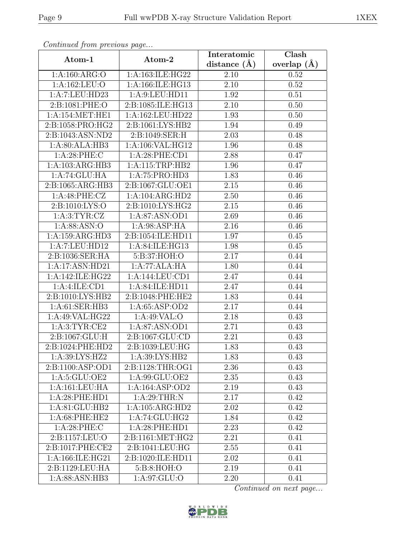| Continueu from previous page |                                     | Interatomic    | Clash         |
|------------------------------|-------------------------------------|----------------|---------------|
| Atom-1                       | Atom-2                              | distance $(A)$ | overlap $(A)$ |
| 1:A:160:ARG:O                | 1:A:163:ILE:HG22                    | 2.10           | 0.52          |
| 1:A:162:LEU:O                | 1:A:166:ILE:HG13                    | 2.10           | 0.52          |
| 1:A:7:LEU:HD23               | 1: A:9: LEU: HD11                   | 1.92           | 0.51          |
| 2:B:1081:PHE:O               | 2:B:1085:ILE:HG13                   | 2.10           | 0.50          |
| 1: A:154: MET:HE1            | 1:A:162:LEU:HD22                    | 1.93           | 0.50          |
| 2:B:1058:PRO:HG2             | 2:B:1061:LYS:HB2                    | 1.94           | 0.49          |
| 2:B:1043:ASN:ND2             | 2:B:1049:SER:H                      | 2.03           | 0.48          |
| 1:A:80:ALA:HB3               | 1:A:106:VAL:HG12                    | 1.96           | 0.48          |
| 1:A:28:PHE:C                 | 1:A:28:PHE:CD1                      | 2.88           | 0.47          |
| 1:A:103:ARG:HB3              | 1:A:115:TRP:HB2                     | 1.96           | 0.47          |
| 1:A:74:GLU:HA                | 1:A:75:PRO:HD3                      | 1.83           | 0.46          |
| 2:B:1065:ARG:HB3             | 2:B:1067:GLU:OE1                    | 2.15           | 0.46          |
| 1:A:48:PHE:CZ                | $1:A:104:A\overline{\text{RG:HD2}}$ | 2.50           | 0.46          |
| 2:B:1010:LYS:O               | 2:B:1010:LYS:HG2                    | 2.15           | 0.46          |
| 1: A:3: TYR: CZ              | 1:A:87:ASN:OD1                      | 2.69           | 0.46          |
| 1:A:88:ASN:O                 | 1: A:98: ASP: HA                    | 2.16           | 0.46          |
| 1:A:159:ARG:HD3              | 2:B:1054:ILE:HD11                   | 1.97           | 0.45          |
| 1:A:7:LEU:HD12               | 1:A:84:ILE:HG13                     | 1.98           | 0.45          |
| 2:B:1036:SER:HA              | 5:B:37:HOH:O                        | 2.17           | 0.44          |
| 1:A:17:ASN:HD21              | 1:A:77:ALA:HA                       | 1.80           | 0.44          |
| 1:A:142:ILE:HG22             | 1:A:144:LEU:CD1                     | 2.47           | 0.44          |
| 1: A: 4: ILE: CD1            | 1: A:84: ILE: HDI1                  | 2.47           | 0.44          |
| 2:B:1010:LYS:HB2             | 2:B:1048:PHE:HE2                    | 1.83           | 0.44          |
| 1: A:61: SER:HB3             | 1: A:65:ASP:OD2                     | 2.17           | 0.44          |
| 1:A:49:VAL:HG22              | 1: A:49: VAL:O                      | 2.18           | 0.43          |
| 1: A:3: TYR: CE2             | 1:A:87:ASN:OD1                      | 2.71           | 0.43          |
| 2:B:1067:GLU:H               | 2:B:1067:GLU:CD                     | 2.21           | 0.43          |
| 2:B:1024:PHE:HD2             | 2:B:1039:LEU:HG                     | 1.83           | 0.43          |
| 1:A:39:LYS:HZ2               | 1:A:39:LYS:HB2                      | 1.83           | 0.43          |
| 2:B:1100:ASP:OD1             | 2:B:1128:THR:OG1                    | 2.36           | 0.43          |
| 1: A:5: GLU:OE2              | 1:A:99:GLU:OE2                      | 2.35           | 0.43          |
| 1:A:161:LEU:HA               | 1:A:164:ASP:OD2                     | 2.19           | 0.43          |
| 1:A:28:PHE:HD1               | 1: A:29:THR:N                       | 2.17           | 0.42          |
| $1:A:81:\overline{GLU:HB2}$  | 1:A:105:ARG:HD2                     | $2.02\,$       | 0.42          |
| 1:A:68:PHE:HE2               | 1:A:74:GLU:HG2                      | 1.84           | 0.42          |
| 1: A:28:PHE: C               | 1:A:28:PHE:HD1                      | 2.23           | 0.42          |
| 2:B:1157:LEU:O               | 2:B:1161:MET:HG2                    | 2.21           | 0.41          |
| 2:B:1017:PHE:CE2             | 2:B:1041:LEU:HG                     | 2.55           | 0.41          |
| 1:A:166:ILE:HG21             | 2:B:1020:ILE:HD11                   | 2.02           | 0.41          |
| 2:B:1129:LEU:HA              | 5:B:8:HOH:O                         | 2.19           | 0.41          |
| 1:A:88:ASN:HB3               | 1:A:97:GLU:O                        | 2.20           | 0.41          |

Continued from previous page.

Continued on next page...

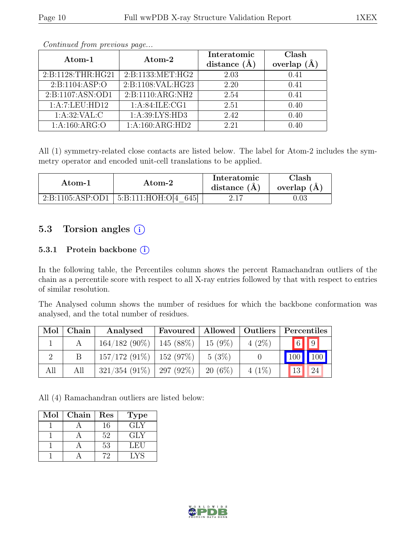| Atom-1            |                              | Interatomic         | Clash   |
|-------------------|------------------------------|---------------------|---------|
|                   | Atom-2                       | distance<br>$(\AA)$ | overlap |
| 2:B:1128:THR:HG21 | 2:B:1133:MET:HG2             | 2.03                | 0.41    |
| 2:B:1104:ASP:O    | 2:B:1108:VAL:HG23            | 2.20                | 0.41    |
| 2:B:1107:ASN:OD1  | 2:B:1110:ARG:NH2             | 2.54                | 0.41    |
| 1:A:7:LEU:HD12    | 1: A:84:ILE:CG1              | 2.51                | 0.40    |
| 1: A:32: VAL:C    | 1: A:39: LYS: HD3            | 2.42                | 0.40    |
| 1: A: 160: ARG: O | $1:A:160:ARG:H\overline{D2}$ | 2.21                | 0.40    |

Continued from previous page...

All (1) symmetry-related close contacts are listed below. The label for Atom-2 includes the symmetry operator and encoded unit-cell translations to be applied.

| Atom-1           | Atom-2                  | Interatomic<br>distance $(A)$ | Clash<br>overlap $(A)$ |
|------------------|-------------------------|-------------------------------|------------------------|
| 2:B:1105:ASP:OD1 | 645<br>5:B:111:HOH:O[4] | 2.17                          |                        |

### 5.3 Torsion angles (i)

#### 5.3.1 Protein backbone (i)

In the following table, the Percentiles column shows the percent Ramachandran outliers of the chain as a percentile score with respect to all X-ray entries followed by that with respect to entries of similar resolution.

The Analysed column shows the number of residues for which the backbone conformation was analysed, and the total number of residues.

| Mol | $\mid$ Chain | Analysed                      | Favoured   Allowed   Outliers |           |          | Percentiles |                         |
|-----|--------------|-------------------------------|-------------------------------|-----------|----------|-------------|-------------------------|
|     |              | $164/182$ (90%)   145 (88%)   |                               | $15(9\%)$ | $4(2\%)$ |             | $\boxed{6}$ $\boxed{9}$ |
|     |              | $157/172$ (91\%)   152 (97\%) |                               | $5(3\%)$  |          |             | 100 100                 |
| All | All          | $321/354$ (91\%)   297 (92\%) |                               | $20(6\%)$ | $4(1\%)$ | 13          | 24                      |

All (4) Ramachandran outliers are listed below:

| Mol | Chain | Res | <b>Type</b> |
|-----|-------|-----|-------------|
|     |       | 16  | <b>GLY</b>  |
|     |       | 52  | GLY         |
|     |       | 53  | LEU         |
|     |       |     | LYS         |

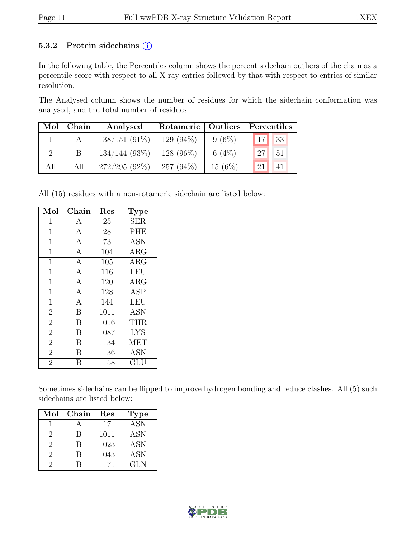#### 5.3.2 Protein sidechains  $(i)$

In the following table, the Percentiles column shows the percent sidechain outliers of the chain as a percentile score with respect to all X-ray entries followed by that with respect to entries of similar resolution.

The Analysed column shows the number of residues for which the sidechain conformation was analysed, and the total number of residues.

| Mol | Chain | Analysed        | Rotameric   Outliers |           | Percentiles      |    |  |
|-----|-------|-----------------|----------------------|-----------|------------------|----|--|
|     |       | $138/151(91\%)$ | $129(94\%)$          | $9(6\%)$  | 17               | 33 |  |
|     |       | $134/144(93\%)$ | 128 $(96\%)$         | 6 $(4\%)$ | 127 <sub>h</sub> | 51 |  |
| All | All   | $272/295(92\%)$ | 257 $(94\%)$         | $15(6\%)$ | 21               |    |  |

All (15) residues with a non-rotameric sidechain are listed below:

| Mol            | Chain          | Res  | <b>Type</b>          |
|----------------|----------------|------|----------------------|
| 1              | A              | 25   | <b>SER</b>           |
| $\mathbf{1}$   | $\overline{A}$ | 28   | PHE                  |
| $\mathbf 1$    | $\mathbf{A}$   | 73   | <b>ASN</b>           |
| $\mathbf{1}$   | $\mathbf{A}$   | 104  | $\rm{ARG}$           |
| $\mathbf{1}$   | $\overline{A}$ | 105  | <b>ARG</b>           |
| $\mathbf 1$    | $\overline{A}$ | 116  | <b>LEU</b>           |
| $\mathbf 1$    | $\overline{A}$ | 120  | ARG                  |
| $\mathbf{1}$   | $\overline{A}$ | 128  | <b>ASP</b>           |
| $\mathbf{1}$   | $\mathbf{A}$   | 144  | LEU                  |
| $\overline{2}$ | B              | 1011 | <b>ASN</b>           |
| $\overline{2}$ | B              | 1016 | <b>THR</b>           |
| $\overline{2}$ | В              | 1087 | <b>LYS</b>           |
| $\overline{2}$ | B              | 1134 | <b>MET</b>           |
| $\overline{2}$ | В              | 1136 | <b>ASN</b>           |
| $\overline{2}$ | R              | 1158 | $\operatorname{GLU}$ |

Sometimes sidechains can be flipped to improve hydrogen bonding and reduce clashes. All (5) such sidechains are listed below:

| Mol           | Chain | Res  | <b>Type</b>      |
|---------------|-------|------|------------------|
|               |       | 17   | $\overline{ASN}$ |
| $\mathcal{D}$ |       | 1011 | <b>ASN</b>       |
| $\mathcal{D}$ |       | 1023 | <b>ASN</b>       |
| 9             |       | 1043 | <b>ASN</b>       |
|               |       | 1171 | GLN              |

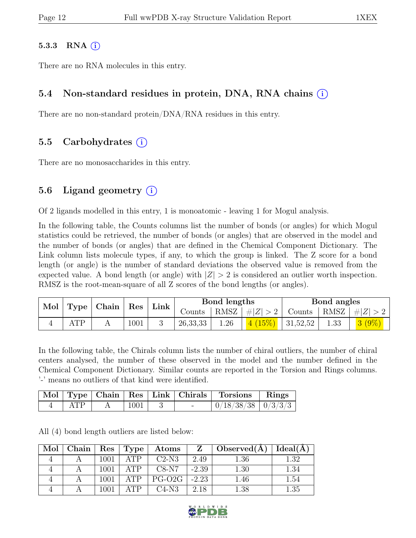#### 5.3.3 RNA  $(i)$

There are no RNA molecules in this entry.

#### 5.4 Non-standard residues in protein, DNA, RNA chains (i)

There are no non-standard protein/DNA/RNA residues in this entry.

#### 5.5 Carbohydrates (i)

There are no monosaccharides in this entry.

### 5.6 Ligand geometry  $(i)$

Of 2 ligands modelled in this entry, 1 is monoatomic - leaving 1 for Mogul analysis.

In the following table, the Counts columns list the number of bonds (or angles) for which Mogul statistics could be retrieved, the number of bonds (or angles) that are observed in the model and the number of bonds (or angles) that are defined in the Chemical Component Dictionary. The Link column lists molecule types, if any, to which the group is linked. The Z score for a bond length (or angle) is the number of standard deviations the observed value is removed from the expected value. A bond length (or angle) with  $|Z| > 2$  is considered an outlier worth inspection. RMSZ is the root-mean-square of all Z scores of the bond lengths (or angles).

| Mol |              | Type   Chain |      | Res | Link       |      | Bond lengths |                     |      | Bond angles        |  |
|-----|--------------|--------------|------|-----|------------|------|--------------|---------------------|------|--------------------|--|
|     |              |              |      |     | Counts     | RMSZ | #Z  > 2      | Counts              |      | RMSZ   $\# Z  > 2$ |  |
|     | $\Lambda$ TD |              | 1001 |     | 26, 33, 33 | 1.26 |              | $(15\%)$   31,52,52 | 1.33 |                    |  |

In the following table, the Chirals column lists the number of chiral outliers, the number of chiral centers analysed, the number of these observed in the model and the number defined in the Chemical Component Dictionary. Similar counts are reported in the Torsion and Rings columns. '-' means no outliers of that kind were identified.

|     |      |        | Mol Type Chain   Res   Link   Chirals   Torsions   Rings |  |
|-----|------|--------|----------------------------------------------------------|--|
| ATP | 1001 | $\sim$ | $\mid 0/18/38/38 \mid 0/3/3/3$                           |  |

All (4) bond length outliers are listed below:

| Mol | Chain | Res  | Type           | Atoms              | Z       | $\Delta$ Observed(A) | Ideal(A) |
|-----|-------|------|----------------|--------------------|---------|----------------------|----------|
|     |       | 1001 | ATP            | $C2-N3$            | 2.49    | $1.36\,$             | - 39     |
|     |       | 1001 | ATP            | $C8-N7$            | $-2.39$ | $1.30\,$             | 1.34     |
|     |       | 1001 | $\triangle$ TP | PG-O <sub>2G</sub> | $-2.23$ | 1.46                 | $1.54\,$ |
|     |       | 1001 | $\Delta T$ P   | $C4-N3$            | 2.18    | 1.38                 | 1.35     |

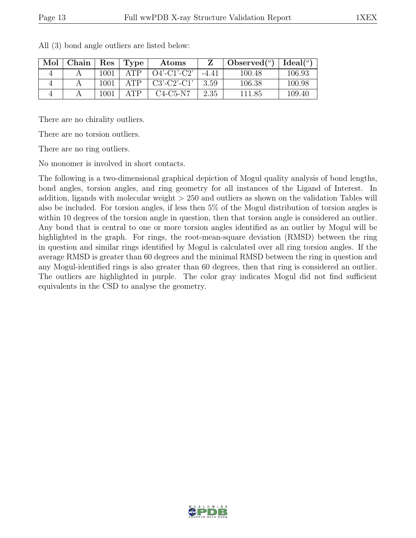| Mol | ${\rm Chain}$ | $\operatorname{Res}% \left( \mathcal{N}\right) \equiv\operatorname{Res}(\mathcal{N}_{0},\mathcal{N}_{0})$ | Type               | Atoms          |         | Observed $(°)$ | Ideal <sup>(o)</sup> |
|-----|---------------|-----------------------------------------------------------------------------------------------------------|--------------------|----------------|---------|----------------|----------------------|
|     |               | $1001\,$                                                                                                  | $\Delta \text{TP}$ | $O4'$ -C1'-C2' | $-4.41$ | 100.48         | 106.93               |
|     |               | 1001                                                                                                      | ATP                | $C3'-C2'-C1'$  | 3.59    | 106.38         | 100.98               |
|     |               | 1001                                                                                                      | ΔTΡ                | $C4-C5-N7$     | 2.35    | 111.85         | 109.40               |

All (3) bond angle outliers are listed below:

There are no chirality outliers.

There are no torsion outliers.

There are no ring outliers.

No monomer is involved in short contacts.

The following is a two-dimensional graphical depiction of Mogul quality analysis of bond lengths, bond angles, torsion angles, and ring geometry for all instances of the Ligand of Interest. In addition, ligands with molecular weight  $> 250$  and outliers as shown on the validation Tables will also be included. For torsion angles, if less then 5% of the Mogul distribution of torsion angles is within 10 degrees of the torsion angle in question, then that torsion angle is considered an outlier. Any bond that is central to one or more torsion angles identified as an outlier by Mogul will be highlighted in the graph. For rings, the root-mean-square deviation (RMSD) between the ring in question and similar rings identified by Mogul is calculated over all ring torsion angles. If the average RMSD is greater than 60 degrees and the minimal RMSD between the ring in question and any Mogul-identified rings is also greater than 60 degrees, then that ring is considered an outlier. The outliers are highlighted in purple. The color gray indicates Mogul did not find sufficient equivalents in the CSD to analyse the geometry.

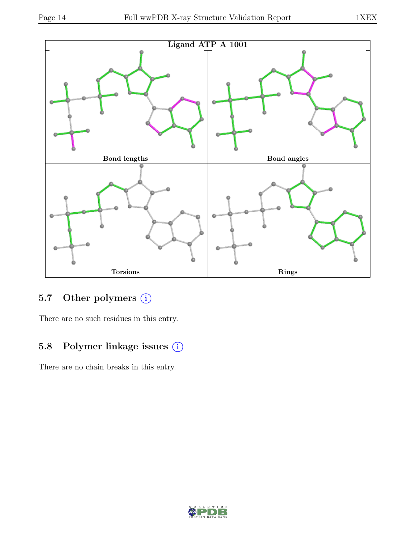

# 5.7 Other polymers (i)

There are no such residues in this entry.

### 5.8 Polymer linkage issues (i)

There are no chain breaks in this entry.